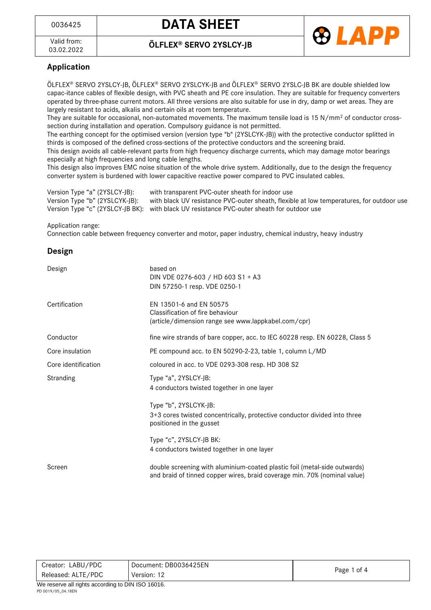



## **Application**

ÖLFLEX® SERVO 2YSLCY-JB, ÖLFLEX® SERVO 2YSLCYK-JB and ÖLFLEX® SERVO 2YSLC-JB BK are double shielded low capac-itance cables of flexible design, with PVC sheath and PE core insulation. They are suitable for frequency converters operated by three-phase current motors. All three versions are also suitable for use in dry, damp or wet areas. They are largely resistant to acids, alkalis and certain oils at room temperature.

They are suitable for occasional, non-automated movements. The maximum tensile load is  $15 N/mm^2$  of conductor crosssection during installation and operation. Compulsory guidance is not permitted.

The earthing concept for the optimised version (version type "b" (2YSLCYK-JB)) with the protective conductor splitted in thirds is composed of the defined cross-sections of the protective conductors and the screening braid.

This design avoids all cable-relevant parts from high frequency discharge currents, which may damage motor bearings especially at high frequencies and long cable lengths.

This design also improves EMC noise situation of the whole drive system. Additionally, due to the design the frequency converter system is burdened with lower capacitive reactive power compared to PVC insulated cables.

| Version Type "a" (2YSLCY-JB): | with transparent PVC-outer sheath for indoor use                                                                        |
|-------------------------------|-------------------------------------------------------------------------------------------------------------------------|
|                               | Version Type "b" (2YSLCYK-JB): with black UV resistance PVC-outer sheath, flexible at low temperatures, for outdoor use |
|                               | Version Type "c" (2YSLCY-JB BK): with black UV resistance PVC-outer sheath for outdoor use                              |

#### Application range:

Connection cable between frequency converter and motor, paper industry, chemical industry, heavy industry

#### **Design**

| Design              | based on<br>DIN VDE 0276-603 / HD 603 S1 + A3                                                                                                          |  |  |  |  |  |  |
|---------------------|--------------------------------------------------------------------------------------------------------------------------------------------------------|--|--|--|--|--|--|
|                     | DIN 57250-1 resp. VDE 0250-1                                                                                                                           |  |  |  |  |  |  |
| Certification       | EN 13501-6 and EN 50575<br>Classification of fire behaviour<br>(article/dimension range see www.lappkabel.com/cpr)                                     |  |  |  |  |  |  |
| Conductor           | fine wire strands of bare copper, acc. to IEC 60228 resp. EN 60228, Class 5                                                                            |  |  |  |  |  |  |
| Core insulation     | PE compound acc. to EN 50290-2-23, table 1, column L/MD                                                                                                |  |  |  |  |  |  |
| Core identification | coloured in acc. to VDE 0293-308 resp. HD 308 S2                                                                                                       |  |  |  |  |  |  |
| Stranding           | Type "a", 2YSLCY-JB:<br>4 conductors twisted together in one layer                                                                                     |  |  |  |  |  |  |
|                     | Type "b", 2YSLCYK-JB:                                                                                                                                  |  |  |  |  |  |  |
|                     | 3+3 cores twisted concentrically, protective conductor divided into three<br>positioned in the gusset                                                  |  |  |  |  |  |  |
|                     | Type "c", 2YSLCY-JB BK:                                                                                                                                |  |  |  |  |  |  |
|                     | 4 conductors twisted together in one layer                                                                                                             |  |  |  |  |  |  |
| Screen              | double screening with aluminium-coated plastic foil (metal-side outwards)<br>and braid of tinned copper wires, braid coverage min. 70% (nominal value) |  |  |  |  |  |  |

| LABU/PDC<br>Creator:   | Document: DB0036425EN |             |  |  |  |  |  |
|------------------------|-----------------------|-------------|--|--|--|--|--|
| Released: ALTE/PDC     | Version: 12           | Page 1 of 4 |  |  |  |  |  |
| _ _ _ _ _ _ _ _ _<br>. |                       |             |  |  |  |  |  |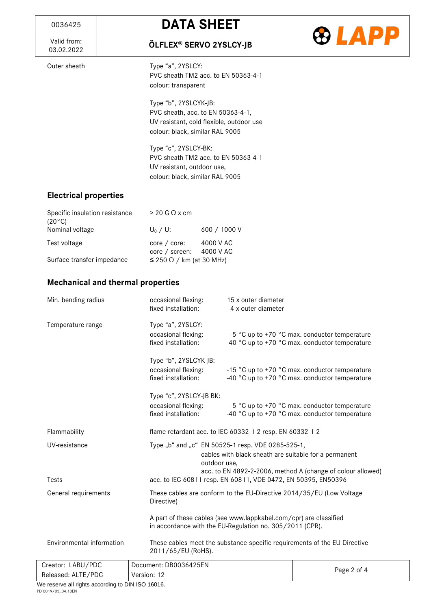| 0036425 |  |
|---------|--|



| Valid from:<br>03.02.2022 | ÖLFLEX <sup>®</sup> SERVO 2YSLCY-JB                                                                                                       |  |
|---------------------------|-------------------------------------------------------------------------------------------------------------------------------------------|--|
| Outer sheath              | Type "a", 2YSLCY:<br>PVC sheath TM2 acc. to EN 50363-4-1<br>colour: transparent                                                           |  |
|                           | Type "b", 2YSLCYK-JB:<br>PVC sheath, acc. to EN 50363-4-1,<br>UV resistant, cold flexible, outdoor use<br>colour: black, similar RAL 9005 |  |
|                           | Type "c", 2YSLCY-BK:<br>PVC sheath TM2 acc. to EN 50363-4-1<br>UV resistant, outdoor use,<br>colour: black, similar RAL 9005              |  |
| 医肌动脉 化乙基苯甲酸 医心包 医心包 医心包   |                                                                                                                                           |  |

## **Electrical properties**

| Specific insulation resistance<br>$(20^{\circ}C)$ | $> 20$ G $\Omega$ x cm                                   |              |  |  |  |
|---------------------------------------------------|----------------------------------------------------------|--------------|--|--|--|
| Nominal voltage                                   | $U_0 / U$ :                                              | 600 / 1000 V |  |  |  |
| Test voltage                                      | 4000 V AC<br>$core / core$ :<br>core / screen: 4000 V AC |              |  |  |  |
| Surface transfer impedance                        | $\leq$ 250 $\Omega$ / km (at 30 MHz)                     |              |  |  |  |

## **Mechanical and thermal properties**

| Min. bending radius                                                                                        | occasional flexing:<br>fixed installation: | 15 x outer diameter<br>4 x outer diameter                                                                                     |                                                |  |  |  |  |
|------------------------------------------------------------------------------------------------------------|--------------------------------------------|-------------------------------------------------------------------------------------------------------------------------------|------------------------------------------------|--|--|--|--|
| Temperature range                                                                                          | Type "a", 2YSLCY:                          |                                                                                                                               |                                                |  |  |  |  |
|                                                                                                            | occasional flexing:                        |                                                                                                                               | -5 °C up to +70 °C max. conductor temperature  |  |  |  |  |
|                                                                                                            | fixed installation:                        |                                                                                                                               | -40 °C up to +70 °C max. conductor temperature |  |  |  |  |
|                                                                                                            | Type "b", 2YSLCYK-JB:                      |                                                                                                                               |                                                |  |  |  |  |
|                                                                                                            | occasional flexing:                        |                                                                                                                               | -15 °C up to +70 °C max. conductor temperature |  |  |  |  |
|                                                                                                            | fixed installation:                        |                                                                                                                               | -40 °C up to +70 °C max. conductor temperature |  |  |  |  |
|                                                                                                            | Type "c", 2YSLCY-JB BK:                    |                                                                                                                               |                                                |  |  |  |  |
|                                                                                                            | occasional flexing:                        |                                                                                                                               | -5 °C up to +70 °C max. conductor temperature  |  |  |  |  |
|                                                                                                            | fixed installation:                        |                                                                                                                               | -40 °C up to +70 °C max. conductor temperature |  |  |  |  |
| Flammability                                                                                               |                                            | flame retardant acc. to IEC 60332-1-2 resp. EN 60332-1-2                                                                      |                                                |  |  |  |  |
| UV-resistance                                                                                              |                                            | Type "b" and "c" EN 50525-1 resp. VDE 0285-525-1,                                                                             |                                                |  |  |  |  |
|                                                                                                            |                                            | cables with black sheath are suitable for a permanent<br>outdoor use.                                                         |                                                |  |  |  |  |
|                                                                                                            |                                            |                                                                                                                               |                                                |  |  |  |  |
| Tests                                                                                                      |                                            | acc. to EN 4892-2-2006, method A (change of colour allowed)<br>acc. to IEC 60811 resp. EN 60811, VDE 0472, EN 50395, EN50396  |                                                |  |  |  |  |
| General requirements<br>These cables are conform to the EU-Directive 2014/35/EU (Low Voltage<br>Directive) |                                            |                                                                                                                               |                                                |  |  |  |  |
|                                                                                                            |                                            | A part of these cables (see www.lappkabel.com/cpr) are classified<br>in accordance with the EU-Regulation no. 305/2011 (CPR). |                                                |  |  |  |  |
| Environmental information                                                                                  | 2011/65/EU (RoHS).                         | These cables meet the substance-specific requirements of the EU Directive                                                     |                                                |  |  |  |  |
| Creator: LABU/PDC                                                                                          | Document: DB0036425EN                      |                                                                                                                               |                                                |  |  |  |  |
| Released: ALTE/PDC                                                                                         | Version: 12                                |                                                                                                                               | Page 2 of 4                                    |  |  |  |  |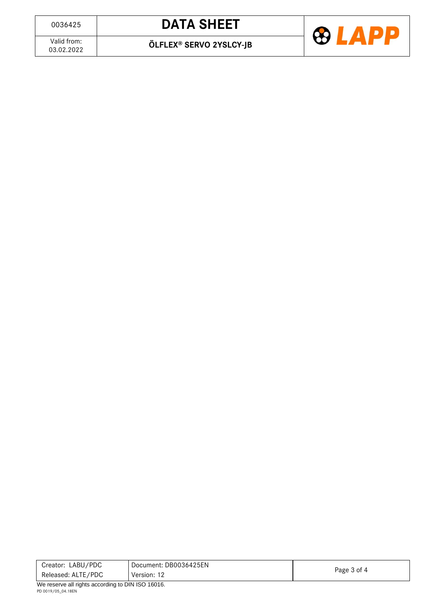Valid from:<br>03.02.2022

03.02.2022 **ÖLFLEX® SERVO 2YSLCY-JB**



| _  _ _<br>.        |                       |             |  |  |  |  |  |
|--------------------|-----------------------|-------------|--|--|--|--|--|
| Released: ALTE/PDC | Version: 12           | Page 3 of 4 |  |  |  |  |  |
| Creator: LABU/PDC  | Document: DB0036425EN |             |  |  |  |  |  |